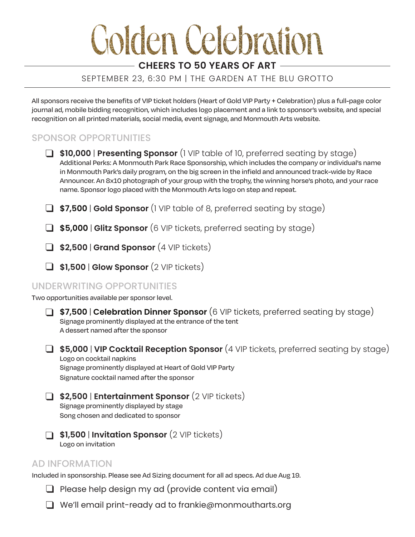# **Golden Celebration**

# **CHEERS TO 50 YEARS OF ART**

#### SEPTEMBER 23, 6:30 PM | THE GARDEN AT THE BLU GROTTO

All sponsors receive the benefits of VIP ticket holders (Heart of Gold VIP Party + Celebration) plus a full-page color journal ad, mobile bidding recognition, which includes logo placement and a link to sponsor's website, and special recognition on all printed materials, social media, event signage, and Monmouth Arts website.

# SPONSOR OPPORTUNITIES

- **\$10,000** | **Presenting Sponsor** (1 VIP table of 10, preferred seating by stage) Additional Perks: A Monmouth Park Race Sponsorship, which includes the company or individual's name in Monmouth Park's daily program, on the big screen in the infield and announced track-wide by Race Announcer. An 8x10 photograph of your group with the trophy, the winning horse's photo, and your race name. Sponsor logo placed with the Monmouth Arts logo on step and repeat.
- **\$7,500** | **Gold Sponsor** (1 VIP table of 8, preferred seating by stage)
- **\$5,000** | **Glitz Sponsor** (6 VIP tickets, preferred seating by stage)
- **\$2,500** | **Grand Sponsor** (4 VIP tickets)
- **\$1,500** | **Glow Sponsor** (2 VIP tickets)

#### UNDERWRITING OPPORTUNITIES

Two opportunities available per sponsor level.

- **\$7,500** | **Celebration Dinner Sponsor** (6 VIP tickets, preferred seating by stage) Signage prominently displayed at the entrance of the tent A dessert named after the sponsor  $\Box$
- **\$5,000** | **VIP Cocktail Reception Sponsor** (4 VIP tickets, preferred seating by stage) Logo on cocktail napkins Signage prominently displayed at Heart of Gold VIP Party Signature cocktail named after the sponsor
- **\$2,500** | **Entertainment Sponsor** (2 VIP tickets) Signage prominently displayed by stage
	- Song chosen and dedicated to sponsor
- **\$1,500** | **Invitation Sponsor** (2 VIP tickets) Logo on invitation

#### AD INFORMATION

Included in sponsorship. Please see Ad Sizing document for all ad specs. Ad due Aug 19.

- $\Box$  Please help design my ad (provide content via email)
- We'll email print-ready ad to frankie@monmoutharts.org